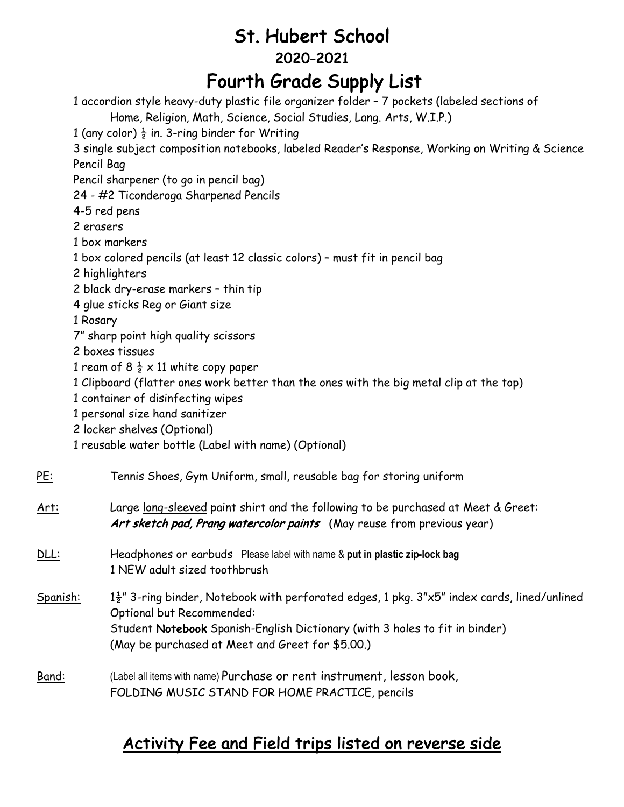# St. Hubert School 2020-2021 Fourth Grade Supply List

1 accordion style heavy-duty plastic file organizer folder – 7 pockets (labeled sections of Home, Religion, Math, Science, Social Studies, Lang. Arts, W.I.P.)

1 (any color)  $\frac{1}{2}$  in. 3-ring binder for Writing

3 single subject composition notebooks, labeled Reader's Response, Working on Writing & Science Pencil Bag

Pencil sharpener (to go in pencil bag)

24 - #2 Ticonderoga Sharpened Pencils

4-5 red pens

2 erasers

- 1 box markers
- 1 box colored pencils (at least 12 classic colors) must fit in pencil bag
- 2 highlighters
- 2 black dry-erase markers thin tip
- 4 glue sticks Reg or Giant size

1 Rosary

- 7" sharp point high quality scissors
- 2 boxes tissues
- 1 ream of 8  $\frac{1}{2} \times 11$  white copy paper
- 1 Clipboard (flatter ones work better than the ones with the big metal clip at the top)
- 1 container of disinfecting wipes
- 1 personal size hand sanitizer
- 2 locker shelves (Optional)
- 1 reusable water bottle (Label with name) (Optional)

#### PE: Tennis Shoes, Gym Uniform, small, reusable bag for storing uniform

Art: Large long-sleeved paint shirt and the following to be purchased at Meet & Greet: Art sketch pad, Prang watercolor paints (May reuse from previous year)

- DLL: Headphones or earbuds Please label with name & **put in plastic zip-lock bag** 1 NEW adult sized toothbrush
- Spanish:  $1\frac{1}{2}$ " 3-ring binder, Notebook with perforated edges, 1 pkg. 3"x5" index cards, lined/unlined Optional but Recommended: Student Notebook Spanish-English Dictionary (with 3 holes to fit in binder) (May be purchased at Meet and Greet for \$5.00.)
- Band: (Label all items with name) Purchase or rent instrument, lesson book, FOLDING MUSIC STAND FOR HOME PRACTICE, pencils

## Activity Fee and Field trips listed on reverse side